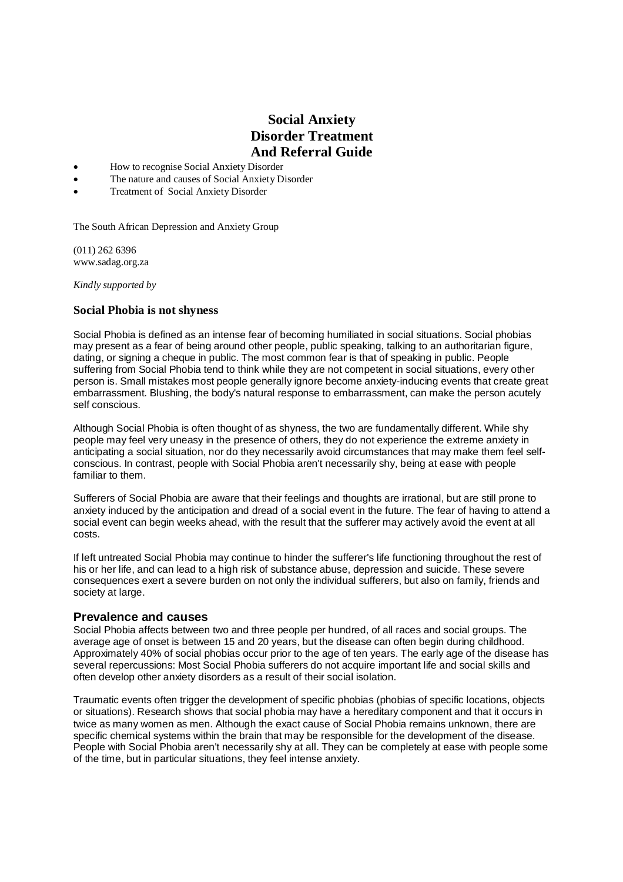# **Social Anxiety Disorder Treatment And Referral Guide**

- How to recognise Social Anxiety Disorder
- The nature and causes of Social Anxiety Disorder
- Treatment of Social Anxiety Disorder

The South African Depression and Anxiety Group

(011) 262 6396 www.sadag.org.za

*Kindly supported by* 

# **Social Phobia is not shyness**

Social Phobia is defined as an intense fear of becoming humiliated in social situations. Social phobias may present as a fear of being around other people, public speaking, talking to an authoritarian figure, dating, or signing a cheque in public. The most common fear is that of speaking in public. People suffering from Social Phobia tend to think while they are not competent in social situations, every other person is. Small mistakes most people generally ignore become anxiety-inducing events that create great embarrassment. Blushing, the body's natural response to embarrassment, can make the person acutely self conscious.

Although Social Phobia is often thought of as shyness, the two are fundamentally different. While shy people may feel very uneasy in the presence of others, they do not experience the extreme anxiety in anticipating a social situation, nor do they necessarily avoid circumstances that may make them feel selfconscious. In contrast, people with Social Phobia aren't necessarily shy, being at ease with people familiar to them.

Sufferers of Social Phobia are aware that their feelings and thoughts are irrational, but are still prone to anxiety induced by the anticipation and dread of a social event in the future. The fear of having to attend a social event can begin weeks ahead, with the result that the sufferer may actively avoid the event at all costs.

If left untreated Social Phobia may continue to hinder the sufferer's life functioning throughout the rest of his or her life, and can lead to a high risk of substance abuse, depression and suicide. These severe consequences exert a severe burden on not only the individual sufferers, but also on family, friends and society at large.

# **Prevalence and causes**

Social Phobia affects between two and three people per hundred, of all races and social groups. The average age of onset is between 15 and 20 years, but the disease can often begin during childhood. Approximately 40% of social phobias occur prior to the age of ten years. The early age of the disease has several repercussions: Most Social Phobia sufferers do not acquire important life and social skills and often develop other anxiety disorders as a result of their social isolation.

Traumatic events often trigger the development of specific phobias (phobias of specific locations, objects or situations). Research shows that social phobia may have a hereditary component and that it occurs in twice as many women as men. Although the exact cause of Social Phobia remains unknown, there are specific chemical systems within the brain that may be responsible for the development of the disease. People with Social Phobia aren't necessarily shy at all. They can be completely at ease with people some of the time, but in particular situations, they feel intense anxiety.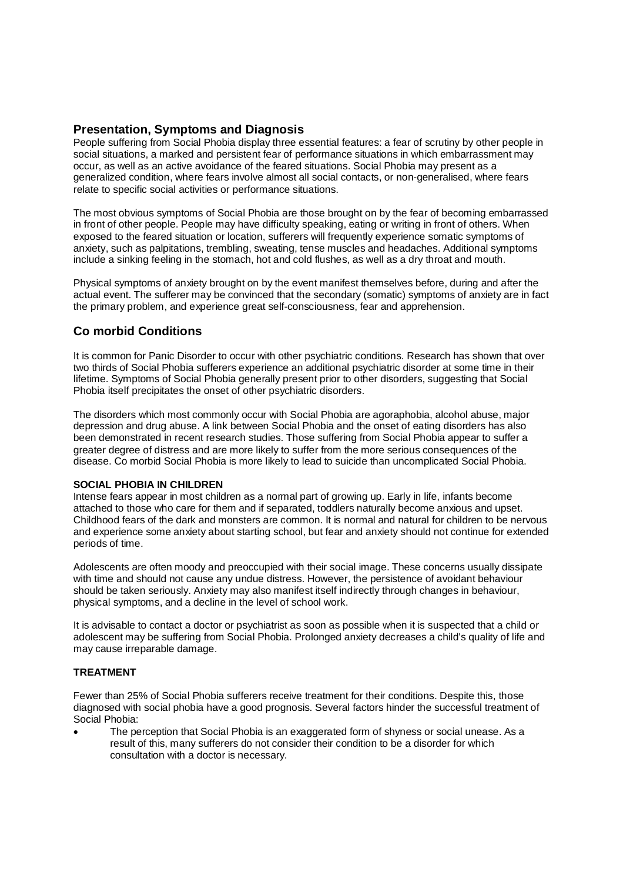# **Presentation, Symptoms and Diagnosis**

People suffering from Social Phobia display three essential features: a fear of scrutiny by other people in social situations, a marked and persistent fear of performance situations in which embarrassment may occur, as well as an active avoidance of the feared situations. Social Phobia may present as a generalized condition, where fears involve almost all social contacts, or non-generalised, where fears relate to specific social activities or performance situations.

The most obvious symptoms of Social Phobia are those brought on by the fear of becoming embarrassed in front of other people. People may have difficulty speaking, eating or writing in front of others. When exposed to the feared situation or location, sufferers will frequently experience somatic symptoms of anxiety, such as palpitations, trembling, sweating, tense muscles and headaches. Additional symptoms include a sinking feeling in the stomach, hot and cold flushes, as well as a dry throat and mouth.

Physical symptoms of anxiety brought on by the event manifest themselves before, during and after the actual event. The sufferer may be convinced that the secondary (somatic) symptoms of anxiety are in fact the primary problem, and experience great self-consciousness, fear and apprehension.

# **Co morbid Conditions**

It is common for Panic Disorder to occur with other psychiatric conditions. Research has shown that over two thirds of Social Phobia sufferers experience an additional psychiatric disorder at some time in their lifetime. Symptoms of Social Phobia generally present prior to other disorders, suggesting that Social Phobia itself precipitates the onset of other psychiatric disorders.

The disorders which most commonly occur with Social Phobia are agoraphobia, alcohol abuse, major depression and drug abuse. A link between Social Phobia and the onset of eating disorders has also been demonstrated in recent research studies. Those suffering from Social Phobia appear to suffer a greater degree of distress and are more likely to suffer from the more serious consequences of the disease. Co morbid Social Phobia is more likely to lead to suicide than uncomplicated Social Phobia.

# **SOCIAL PHOBIA IN CHILDREN**

Intense fears appear in most children as a normal part of growing up. Early in life, infants become attached to those who care for them and if separated, toddlers naturally become anxious and upset. Childhood fears of the dark and monsters are common. It is normal and natural for children to be nervous and experience some anxiety about starting school, but fear and anxiety should not continue for extended periods of time.

Adolescents are often moody and preoccupied with their social image. These concerns usually dissipate with time and should not cause any undue distress. However, the persistence of avoidant behaviour should be taken seriously. Anxiety may also manifest itself indirectly through changes in behaviour, physical symptoms, and a decline in the level of school work.

It is advisable to contact a doctor or psychiatrist as soon as possible when it is suspected that a child or adolescent may be suffering from Social Phobia. Prolonged anxiety decreases a child's quality of life and may cause irreparable damage.

# **TREATMENT**

Fewer than 25% of Social Phobia sufferers receive treatment for their conditions. Despite this, those diagnosed with social phobia have a good prognosis. Several factors hinder the successful treatment of Social Phobia:

 The perception that Social Phobia is an exaggerated form of shyness or social unease. As a result of this, many sufferers do not consider their condition to be a disorder for which consultation with a doctor is necessary.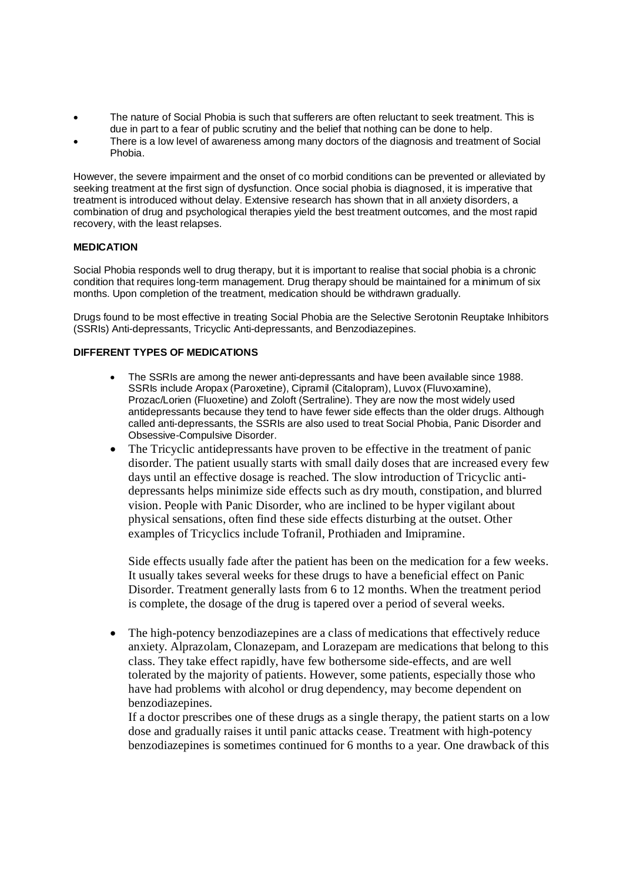- The nature of Social Phobia is such that sufferers are often reluctant to seek treatment. This is due in part to a fear of public scrutiny and the belief that nothing can be done to help.
- There is a low level of awareness among many doctors of the diagnosis and treatment of Social Phobia.

However, the severe impairment and the onset of co morbid conditions can be prevented or alleviated by seeking treatment at the first sign of dysfunction. Once social phobia is diagnosed, it is imperative that treatment is introduced without delay. Extensive research has shown that in all anxiety disorders, a combination of drug and psychological therapies yield the best treatment outcomes, and the most rapid recovery, with the least relapses.

#### **MEDICATION**

Social Phobia responds well to drug therapy, but it is important to realise that social phobia is a chronic condition that requires long-term management. Drug therapy should be maintained for a minimum of six months. Upon completion of the treatment, medication should be withdrawn gradually.

Drugs found to be most effective in treating Social Phobia are the Selective Serotonin Reuptake Inhibitors (SSRIs) Anti-depressants, Tricyclic Anti-depressants, and Benzodiazepines.

# **DIFFERENT TYPES OF MEDICATIONS**

- The SSRIs are among the newer anti-depressants and have been available since 1988. SSRIs include Aropax (Paroxetine), Cipramil (Citalopram), Luvox (Fluvoxamine), Prozac/Lorien (Fluoxetine) and Zoloft (Sertraline). They are now the most widely used antidepressants because they tend to have fewer side effects than the older drugs. Although called anti-depressants, the SSRIs are also used to treat Social Phobia, Panic Disorder and Obsessive-Compulsive Disorder.
- The Tricyclic antidepressants have proven to be effective in the treatment of panic disorder. The patient usually starts with small daily doses that are increased every few days until an effective dosage is reached. The slow introduction of Tricyclic antidepressants helps minimize side effects such as dry mouth, constipation, and blurred vision. People with Panic Disorder, who are inclined to be hyper vigilant about physical sensations, often find these side effects disturbing at the outset. Other examples of Tricyclics include Tofranil, Prothiaden and Imipramine.

Side effects usually fade after the patient has been on the medication for a few weeks. It usually takes several weeks for these drugs to have a beneficial effect on Panic Disorder. Treatment generally lasts from 6 to 12 months. When the treatment period is complete, the dosage of the drug is tapered over a period of several weeks.

 The high-potency benzodiazepines are a class of medications that effectively reduce anxiety. Alprazolam, Clonazepam, and Lorazepam are medications that belong to this class. They take effect rapidly, have few bothersome side-effects, and are well tolerated by the majority of patients. However, some patients, especially those who have had problems with alcohol or drug dependency, may become dependent on benzodiazepines.

If a doctor prescribes one of these drugs as a single therapy, the patient starts on a low dose and gradually raises it until panic attacks cease. Treatment with high-potency benzodiazepines is sometimes continued for 6 months to a year. One drawback of this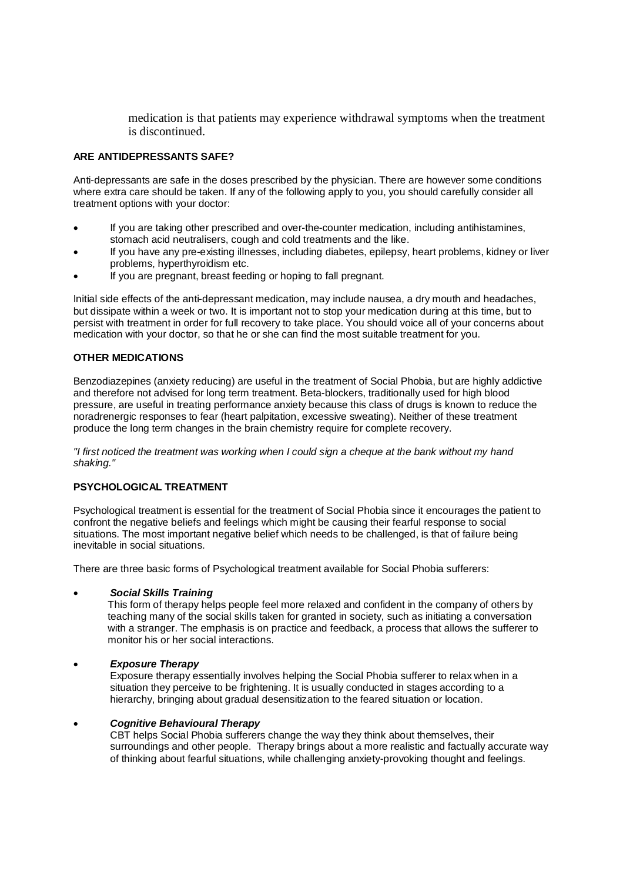medication is that patients may experience withdrawal symptoms when the treatment is discontinued.

# **ARE ANTIDEPRESSANTS SAFE?**

Anti-depressants are safe in the doses prescribed by the physician. There are however some conditions where extra care should be taken. If any of the following apply to you, you should carefully consider all treatment options with your doctor:

- If you are taking other prescribed and over-the-counter medication, including antihistamines, stomach acid neutralisers, cough and cold treatments and the like.
- If you have any pre-existing illnesses, including diabetes, epilepsy, heart problems, kidney or liver problems, hyperthyroidism etc.
- If you are pregnant, breast feeding or hoping to fall pregnant.

Initial side effects of the anti-depressant medication, may include nausea, a dry mouth and headaches, but dissipate within a week or two. It is important not to stop your medication during at this time, but to persist with treatment in order for full recovery to take place. You should voice all of your concerns about medication with your doctor, so that he or she can find the most suitable treatment for you.

#### **OTHER MEDICATIONS**

Benzodiazepines (anxiety reducing) are useful in the treatment of Social Phobia, but are highly addictive and therefore not advised for long term treatment. Beta-blockers, traditionally used for high blood pressure, are useful in treating performance anxiety because this class of drugs is known to reduce the noradrenergic responses to fear (heart palpitation, excessive sweating). Neither of these treatment produce the long term changes in the brain chemistry require for complete recovery.

*"I first noticed the treatment was working when I could sign a cheque at the bank without my hand shaking."*

#### **PSYCHOLOGICAL TREATMENT**

Psychological treatment is essential for the treatment of Social Phobia since it encourages the patient to confront the negative beliefs and feelings which might be causing their fearful response to social situations. The most important negative belief which needs to be challenged, is that of failure being inevitable in social situations.

There are three basic forms of Psychological treatment available for Social Phobia sufferers:

#### *Social Skills Training*

This form of therapy helps people feel more relaxed and confident in the company of others by teaching many of the social skills taken for granted in society, such as initiating a conversation with a stranger. The emphasis is on practice and feedback, a process that allows the sufferer to monitor his or her social interactions.

#### *Exposure Therapy*

Exposure therapy essentially involves helping the Social Phobia sufferer to relax when in a situation they perceive to be frightening. It is usually conducted in stages according to a hierarchy, bringing about gradual desensitization to the feared situation or location.

#### *Cognitive Behavioural Therapy*

CBT helps Social Phobia sufferers change the way they think about themselves, their surroundings and other people. Therapy brings about a more realistic and factually accurate way of thinking about fearful situations, while challenging anxiety-provoking thought and feelings.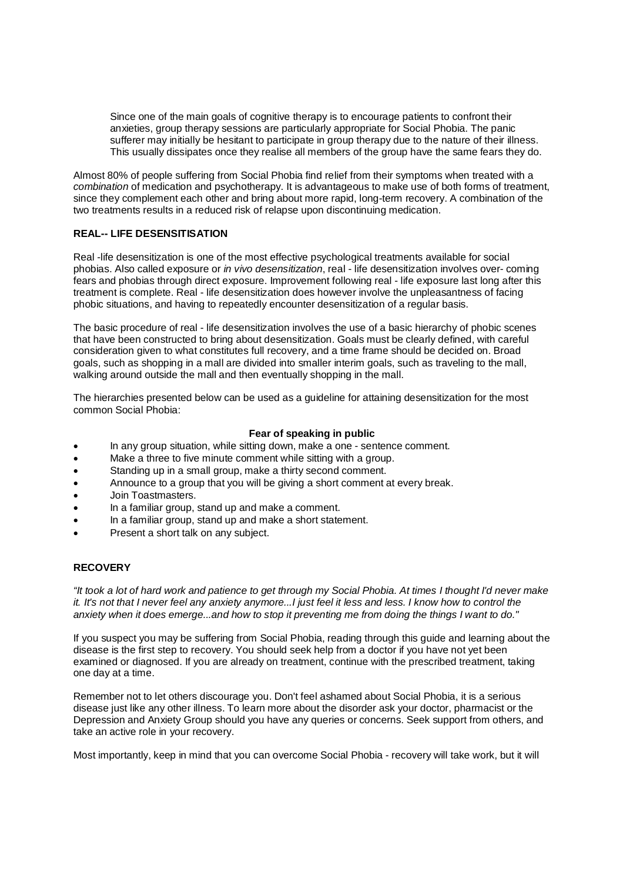Since one of the main goals of cognitive therapy is to encourage patients to confront their anxieties, group therapy sessions are particularly appropriate for Social Phobia. The panic sufferer may initially be hesitant to participate in group therapy due to the nature of their illness. This usually dissipates once they realise all members of the group have the same fears they do.

Almost 80% of people suffering from Social Phobia find relief from their symptoms when treated with a *combination* of medication and psychotherapy. It is advantageous to make use of both forms of treatment, since they complement each other and bring about more rapid, long-term recovery. A combination of the two treatments results in a reduced risk of relapse upon discontinuing medication.

# **REAL-- LIFE DESENSITISATION**

Real -life desensitization is one of the most effective psychological treatments available for social phobias. Also called exposure or *in vivo desensitization*, real - life desensitization involves over- coming fears and phobias through direct exposure. Improvement following real - life exposure last long after this treatment is complete. Real - life desensitization does however involve the unpleasantness of facing phobic situations, and having to repeatedly encounter desensitization of a regular basis.

The basic procedure of real - life desensitization involves the use of a basic hierarchy of phobic scenes that have been constructed to bring about desensitization. Goals must be clearly defined, with careful consideration given to what constitutes full recovery, and a time frame should be decided on. Broad goals, such as shopping in a mall are divided into smaller interim goals, such as traveling to the mall, walking around outside the mall and then eventually shopping in the mall.

The hierarchies presented below can be used as a guideline for attaining desensitization for the most common Social Phobia:

#### **Fear of speaking in public**

- In any group situation, while sitting down, make a one sentence comment.
- Make a three to five minute comment while sitting with a group.
- Standing up in a small group, make a thirty second comment.
- Announce to a group that you will be giving a short comment at every break.
- Join Toastmasters.
- In a familiar group, stand up and make a comment.
- In a familiar group, stand up and make a short statement.
- Present a short talk on any subject.

#### **RECOVERY**

*"It took a lot of hard work and patience to get through my Social Phobia. At times I thought I'd never make it. It's not that I never feel any anxiety anymore...I just feel it less and less. I know how to control the anxiety when it does emerge...and how to stop it preventing me from doing the things I want to do."*

If you suspect you may be suffering from Social Phobia, reading through this guide and learning about the disease is the first step to recovery. You should seek help from a doctor if you have not yet been examined or diagnosed. If you are already on treatment, continue with the prescribed treatment, taking one day at a time.

Remember not to let others discourage you. Don't feel ashamed about Social Phobia, it is a serious disease just like any other illness. To learn more about the disorder ask your doctor, pharmacist or the Depression and Anxiety Group should you have any queries or concerns. Seek support from others, and take an active role in your recovery.

Most importantly, keep in mind that you can overcome Social Phobia - recovery will take work, but it will